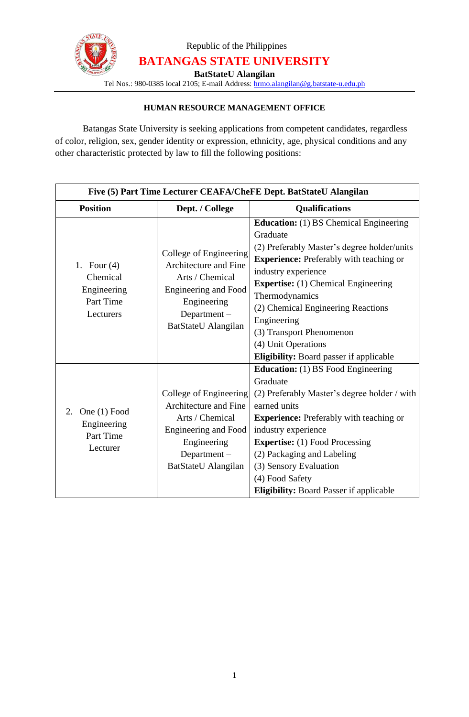

Republic of the Philippines **BATANGAS STATE UNIVERSITY**

**BatStateU Alangilan**

Tel Nos.: 980-0385 local 2105; E-mail Address: [hrmo.alangilan@g.batstate-u.edu.ph](mailto:hrmo.alangilan@g.batstate-u.edu.ph)

## **HUMAN RESOURCE MANAGEMENT OFFICE**

Batangas State University is seeking applications from competent candidates, regardless of color, religion, sex, gender identity or expression, ethnicity, age, physical conditions and any other characteristic protected by law to fill the following positions:

| Five (5) Part Time Lecturer CEAFA/CheFE Dept. BatStateU Alangilan  |                                                                                                                                                    |                                                                                                                                                                                                                                                                                                                                                                                                             |
|--------------------------------------------------------------------|----------------------------------------------------------------------------------------------------------------------------------------------------|-------------------------------------------------------------------------------------------------------------------------------------------------------------------------------------------------------------------------------------------------------------------------------------------------------------------------------------------------------------------------------------------------------------|
| <b>Position</b>                                                    | Dept. / College                                                                                                                                    | <b>Qualifications</b>                                                                                                                                                                                                                                                                                                                                                                                       |
| 1. Four $(4)$<br>Chemical<br>Engineering<br>Part Time<br>Lecturers | College of Engineering<br>Architecture and Fine<br>Arts / Chemical<br>Engineering and Food<br>Engineering<br>Department-<br>BatStateU Alangilan    | <b>Education:</b> (1) BS Chemical Engineering<br>Graduate<br>(2) Preferably Master's degree holder/units<br><b>Experience:</b> Preferably with teaching or<br>industry experience<br><b>Expertise:</b> (1) Chemical Engineering<br>Thermodynamics<br>(2) Chemical Engineering Reactions<br>Engineering<br>(3) Transport Phenomenon<br>(4) Unit Operations<br><b>Eligibility:</b> Board passer if applicable |
| 2. One $(1)$ Food<br>Engineering<br>Part Time<br>Lecturer          | College of Engineering<br>Architecture and Fine<br>Arts / Chemical<br>Engineering and Food<br>Engineering<br>Department $-$<br>BatStateU Alangilan | <b>Education:</b> (1) BS Food Engineering<br>Graduate<br>(2) Preferably Master's degree holder / with<br>earned units<br><b>Experience:</b> Preferably with teaching or<br>industry experience<br><b>Expertise:</b> (1) Food Processing<br>(2) Packaging and Labeling<br>(3) Sensory Evaluation<br>(4) Food Safety<br><b>Eligibility: Board Passer if applicable</b>                                        |